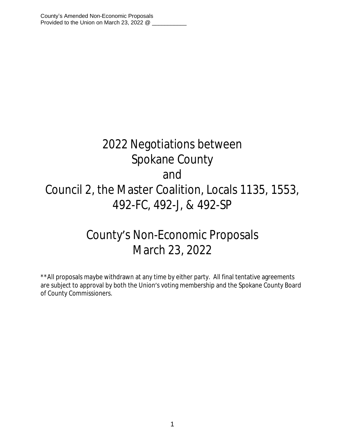# 2022 Negotiations between Spokane County and Council 2, the Master Coalition, Locals 1135, 1553, 492-FC, 492-J, & 492-SP

## County's Non-Economic Proposals March 23, 2022

\*\*All proposals maybe withdrawn at any time by either party. All final tentative agreements are subject to approval by both the Union's voting membership and the Spokane County Board of County Commissioners.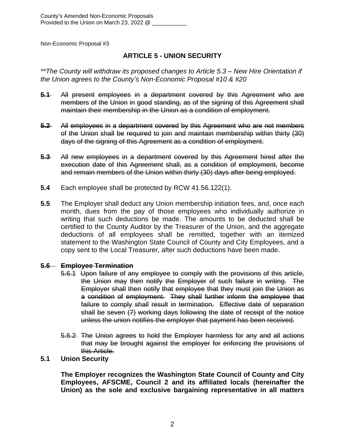## **ARTICLE 5 - UNION SECURITY**

*\*\*The County will withdraw its proposed changes to Article 5.3 – New Hire Orientation if the Union agrees to the County's Non-Economic Proposal #10 & #20*

- **5.1** All present employees in a department covered by this Agreement who are members of the Union in good standing, as of the signing of this Agreement shall maintain their membership in the Union as a condition of employment.
- **5.2** All employees in a department covered by this Agreement who are not members of the Union shall be required to join and maintain membership within thirty (30) days of the signing of this Agreement as a condition of employment.
- **5.3** All new employees in a department covered by this Agreement hired after the execution date of this Agreement shall, as a condition of employment, become and remain members of the Union within thirty (30) days after being employed.
- **5.4** Each employee shall be protected by RCW 41.56.122(1).
- **5.5** The Employer shall deduct any Union membership initiation fees, and, once each month, dues from the pay of those employees who individually authorize in writing that such deductions be made. The amounts to be deducted shall be certified to the County Auditor by the Treasurer of the Union, and the aggregate deductions of all employees shall be remitted, together with an itemized statement to the Washington State Council of County and City Employees, and a copy sent to the Local Treasurer, after such deductions have been made.

## **5.6 Employee Termination**

- 5.6.1 Upon failure of any employee to comply with the provisions of this article, the Union may then notify the Employer of such failure in writing. The Employer shall then notify that employee that they must join the Union as a condition of employment. They shall further inform the employee that failure to comply shall result in termination. Effective date of separation shall be seven (7) working days following the date of receipt of the notice unless the union notifies the employer that payment has been received.
- 5.6.2 The Union agrees to hold the Employer harmless for any and all actions that may be brought against the employer for enforcing the provisions of this Article.

## **5.1 Union Security**

**The Employer recognizes the Washington State Council of County and City Employees, AFSCME, Council 2 and its affiliated locals (hereinafter the Union) as the sole and exclusive bargaining representative in all matters**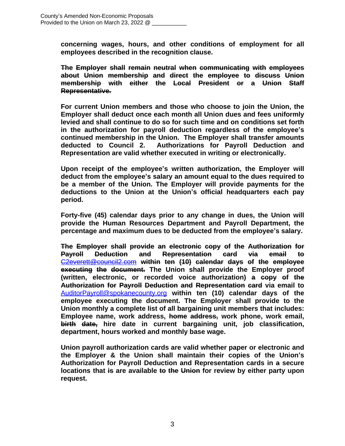**concerning wages, hours, and other conditions of employment for all employees described in the recognition clause.**

**The Employer shall remain neutral when communicating with employees about Union membership and direct the employee to discuss Union membership with either the Local President or a Union Staff Representative.**

**For current Union members and those who choose to join the Union, the Employer shall deduct once each month all Union dues and fees uniformly levied and shall continue to do so for such time and on conditions set forth in the authorization for payroll deduction regardless of the employee's continued membership in the Union. The Employer shall transfer amounts deducted to Council 2. Authorizations for Payroll Deduction and Representation are valid whether executed in writing or electronically.**

**Upon receipt of the employee's written authorization, the Employer will deduct from the employee's salary an amount equal to the dues required to be a member of the Union. The Employer will provide payments for the deductions to the Union at the Union's official headquarters each pay period.** 

**Forty-five (45) calendar days prior to any change in dues, the Union will provide the Human Resources Department and Payroll Department, the percentage and maximum dues to be deducted from the employee's salary.**

**The Employer shall provide an electronic copy of the Authorization for Payroll Deduction and Representation card via email to** [C2everett@council2.com](mailto:C2everett@council2.com) **within ten (10) calendar days of the employee executing the document. The Union shall provide the Employer proof (written, electronic, or recorded voice authorization) a copy of the Authorization for Payroll Deduction and Representation card via email to** [AuditorPayroll@spokanecounty.org](mailto:AuditorPayroll@spokanecounty.org) **within ten (10) calendar days of the employee executing the document. The Employer shall provide to the Union monthly a complete list of all bargaining unit members that includes: Employee name, work address, home address, work phone, work email, birth date, hire date in current bargaining unit, job classification, department, hours worked and monthly base wage.**

**Union payroll authorization cards are valid whether paper or electronic and the Employer & the Union shall maintain their copies of the Union's Authorization for Payroll Deduction and Representation cards in a secure locations that is are available to the Union for review by either party upon request.**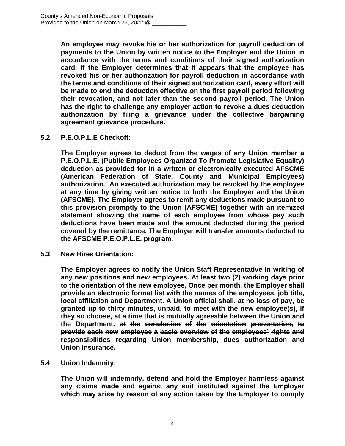**An employee may revoke his or her authorization for payroll deduction of payments to the Union by written notice to the Employer and the Union in accordance with the terms and conditions of their signed authorization card. If the Employer determines that it appears that the employee has revoked his or her authorization for payroll deduction in accordance with the terms and conditions of their signed authorization card, every effort will be made to end the deduction effective on the first payroll period following their revocation, and not later than the second payroll period. The Union has the right to challenge any employer action to revoke a dues deduction authorization by filing a grievance under the collective bargaining agreement grievance procedure.**

## **5.2 P.E.O.P.L.E Checkoff:**

**The Employer agrees to deduct from the wages of any Union member a P.E.O.P.L.E. (Public Employees Organized To Promote Legislative Equality) deduction as provided for in a written or electronically executed AFSCME (American Federation of State, County and Municipal Employees) authorization. An executed authorization may be revoked by the employee at any time by giving written notice to both the Employer and the Union (AFSCME). The Employer agrees to remit any deductions made pursuant to this provision promptly to the Union (AFSCME) together with an itemized statement showing the name of each employee from whose pay such deductions have been made and the amount deducted during the period covered by the remittance. The Employer will transfer amounts deducted to the AFSCME P.E.O.P.L.E. program.**

**5.3 New Hires Orientation:**

**The Employer agrees to notify the Union Staff Representative in writing of any new positions and new employees. At least two (2) working days prior to the orientation of the new employee, Once per month, the Employer shall provide an electronic format list with the names of the employees, job title, local affiliation and Department. A Union official shall, at no loss of pay, be granted up to thirty minutes, unpaid, to meet with the new employee(s), if they so choose, at a time that is mutually agreeable between the Union and the Department. at the conclusion of the orientation presentation, to provide each new employee a basic overview of the employees' rights and responsibilities regarding Union membership, dues authorization and Union insurance.**

## **5.4 Union Indemnity:**

**The Union will indemnify, defend and hold the Employer harmless against any claims made and against any suit instituted against the Employer which may arise by reason of any action taken by the Employer to comply**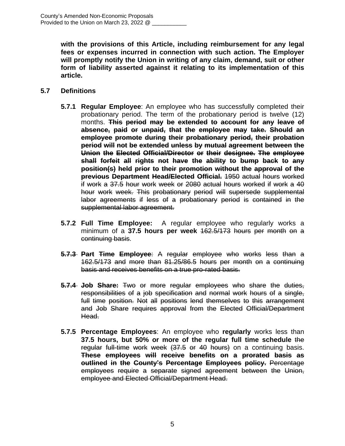**with the provisions of this Article, including reimbursement for any legal fees or expenses incurred in connection with such action. The Employer will promptly notify the Union in writing of any claim, demand, suit or other form of liability asserted against it relating to its implementation of this article.**

#### **5.7 Definitions**

- **5.7.1 Regular Employee**: An employee who has successfully completed their probationary period. The term of the probationary period is twelve (12) months. **This period may be extended to account for any leave of absence, paid or unpaid, that the employee may take. Should an employee promote during their probationary period, their probation period will not be extended unless by mutual agreement between the Union the Elected Official/Director or their designee. The employee shall forfeit all rights not have the ability to bump back to any position(s) held prior to their promotion without the approval of the previous Department Head/Elected Official.** 1950 actual hours worked if work a 37.5 hour work week or 2080 actual hours worked if work a 40 hour work week. This probationary period will supersede supplemental labor agreements if less of a probationary period is contained in the supplemental labor agreement.
- **5.7.2 Full Time Employee:** A regular employee who regularly works a minimum of a **37.5 hours per week** 162.5/173 hours per month on a continuing basis.
- **5.7.3 Part Time Employee**: A regular employee who works less than a 162.5/173 and more than 81.25/86.5 hours per month on a continuing basis and receives benefits on a true pro-rated basis.
- **5.7.4 Job Share:** Two or more regular employees who share the duties, responsibilities of a job specification and normal work hours of a single, full time position. Not all positions lend themselves to this arrangement and Job Share requires approval from the Elected Official/Department Head.
- **5.7.5 Percentage Employees**: An employee who **regularly** works less than **37.5 hours, but 50% or more of the regular full time schedule** the regular full-time work week (37.5 or 40 hours) on a continuing basis. **These employees will receive benefits on a prorated basis as outlined in the County's Percentage Employees policy.** Percentage employees require a separate signed agreement between the Union, employee and Elected Official/Department Head.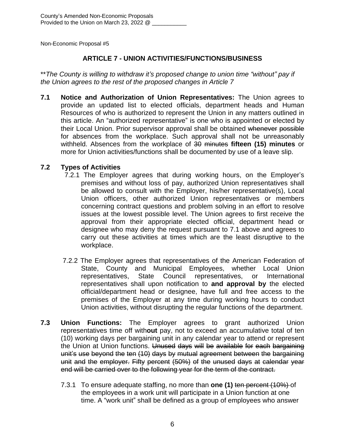## **ARTICLE 7 - UNION ACTIVITIES/FUNCTIONS/BUSINESS**

\*\**The County is willing to withdraw it's proposed change to union time "without" pay if the Union agrees to the rest of the proposed changes in Article 7*

**7.1 Notice and Authorization of Union Representatives:** The Union agrees to provide an updated list to elected officials, department heads and Human Resources of who is authorized to represent the Union in any matters outlined in this article. An "authorized representative" is one who is appointed or elected by their Local Union. Prior supervisor approval shall be obtained whenever possible for absences from the workplace. Such approval shall not be unreasonably withheld. Absences from the workplace of 30 minutes **fifteen (15) minutes** or more for Union activities/functions shall be documented by use of a leave slip.

## **7.2 Types of Activities**

- 7.2.1 The Employer agrees that during working hours, on the Employer's premises and without loss of pay, authorized Union representatives shall be allowed to consult with the Employer, his/her representative(s), Local Union officers, other authorized Union representatives or members concerning contract questions and problem solving in an effort to resolve issues at the lowest possible level. The Union agrees to first receive the approval from their appropriate elected official, department head or designee who may deny the request pursuant to 7.1 above and agrees to carry out these activities at times which are the least disruptive to the workplace.
- 7.2.2 The Employer agrees that representatives of the American Federation of State, County and Municipal Employees, whether Local Union representatives, State Council representatives, or International representatives shall upon notification to **and approval by** the elected official/department head or designee, have full and free access to the premises of the Employer at any time during working hours to conduct Union activities, without disrupting the regular functions of the department.
- **7.3 Union Functions:** The Employer agrees to grant authorized Union representatives time off with**out** pay, not to exceed an accumulative total of ten (10) working days per bargaining unit in any calendar year to attend or represent the Union at Union functions. Unused days will be available for each bargaining unit's use beyond the ten (10) days by mutual agreement between the bargaining unit and the employer. Fifty percent (50%) of the unused days at calendar year end will be carried over to the following year for the term of the contract.
	- 7.3.1 To ensure adequate staffing, no more than **one (1)** ten percent (10%) of the employees in a work unit will participate in a Union function at one time. A "work unit" shall be defined as a group of employees who answer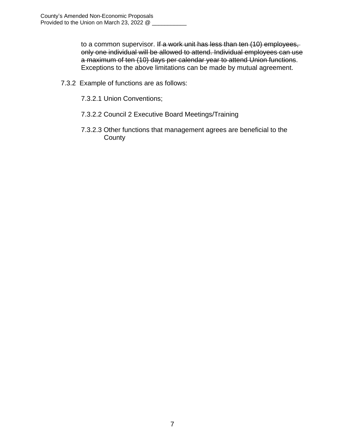to a common supervisor. If a work unit has less than ten (10) employees, only one individual will be allowed to attend. Individual employees can use a maximum of ten (10) days per calendar year to attend Union functions. Exceptions to the above limitations can be made by mutual agreement.

- 7.3.2 Example of functions are as follows:
	- 7.3.2.1 Union Conventions;
	- 7.3.2.2 Council 2 Executive Board Meetings/Training
	- 7.3.2.3 Other functions that management agrees are beneficial to the **County**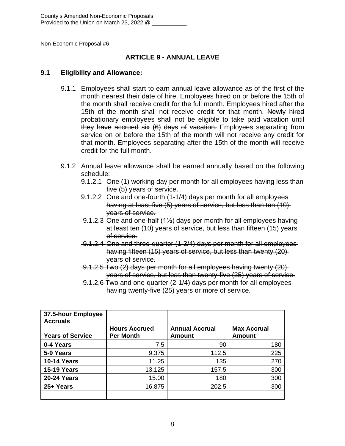## **ARTICLE 9 - ANNUAL LEAVE**

#### **9.1 Eligibility and Allowance:**

- 9.1.1 Employees shall start to earn annual leave allowance as of the first of the month nearest their date of hire. Employees hired on or before the 15th of the month shall receive credit for the full month. Employees hired after the 15th of the month shall not receive credit for that month. Newly hired probationary employees shall not be eligible to take paid vacation until they have accrued six (6) days of vacation. Employees separating from service on or before the 15th of the month will not receive any credit for that month. Employees separating after the 15th of the month will receive credit for the full month.
- 9.1.2 Annual leave allowance shall be earned annually based on the following schedule:
	- 9.1.2.1 One (1) working day per month for all employees having less than five (5) years of service.
	- 9.1.2.2 One and one-fourth (1-1/4) days per month for all employees having at least five (5) years of service, but less than ten (10) years of service.
	- 9.1.2.3 One and one-half (1½) days per month for all employees having at least ten (10) years of service, but less than fifteen (15) years of service.
	- 9.1.2.4 One and three-quarter (1-3/4) days per month for all employees having fifteen (15) years of service, but less than twenty (20) years of service.
	- 9.1.2.5 Two (2) days per month for all employees having twenty (20) years of service, but less than twenty-five (25) years of service.
	- 9.1.2.6 Two and one-quarter (2-1/4) days per month for all employees having twenty-five (25) years or more of service.

| 37.5-hour Employee<br><b>Accruals</b> |                                          |                                 |                                     |
|---------------------------------------|------------------------------------------|---------------------------------|-------------------------------------|
| <b>Years of Service</b>               | <b>Hours Accrued</b><br><b>Per Month</b> | <b>Annual Accrual</b><br>Amount | <b>Max Accrual</b><br><b>Amount</b> |
|                                       |                                          |                                 |                                     |
| 0-4 Years                             | 7.5                                      | 90                              | 180                                 |
| 5-9 Years                             | 9.375                                    | 112.5                           | 225                                 |
| <b>10-14 Years</b>                    | 11.25                                    | 135                             | 270                                 |
| <b>15-19 Years</b>                    | 13.125                                   | 157.5                           | 300                                 |
| <b>20-24 Years</b>                    | 15.00                                    | 180                             | 300                                 |
| 25+ Years                             | 16.875                                   | 202.5                           | 300                                 |
|                                       |                                          |                                 |                                     |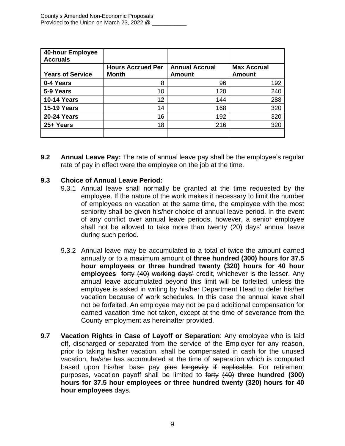| 40-hour Employee<br><b>Accruals</b> |                          |                       |                    |
|-------------------------------------|--------------------------|-----------------------|--------------------|
|                                     | <b>Hours Accrued Per</b> | <b>Annual Accrual</b> | <b>Max Accrual</b> |
| <b>Years of Service</b>             | <b>Month</b>             | <b>Amount</b>         | <b>Amount</b>      |
| 0-4 Years                           | 8                        | 96                    | 192                |
| 5-9 Years                           | 10                       | 120                   | 240                |
| <b>10-14 Years</b>                  | 12                       | 144                   | 288                |
| <b>15-19 Years</b>                  | 14                       | 168                   | 320                |
| <b>20-24 Years</b>                  | 16                       | 192                   | 320                |
| 25+ Years                           | 18                       | 216                   | 320                |
|                                     |                          |                       |                    |

**9.2 Annual Leave Pay:** The rate of annual leave pay shall be the employee's regular rate of pay in effect were the employee on the job at the time.

## **9.3 Choice of Annual Leave Period:**

- 9.3.1 Annual leave shall normally be granted at the time requested by the employee. If the nature of the work makes it necessary to limit the number of employees on vacation at the same time, the employee with the most seniority shall be given his/her choice of annual leave period. In the event of any conflict over annual leave periods, however, a senior employee shall not be allowed to take more than twenty (20) days' annual leave during such period.
- 9.3.2 Annual leave may be accumulated to a total of twice the amount earned annually or to a maximum amount of **three hundred (300) hours for 37.5 hour employees or three hundred twenty (320) hours for 40 hour employees** forty (40) working days' credit, whichever is the lesser. Any annual leave accumulated beyond this limit will be forfeited, unless the employee is asked in writing by his/her Department Head to defer his/her vacation because of work schedules. In this case the annual leave shall not be forfeited. An employee may not be paid additional compensation for earned vacation time not taken, except at the time of severance from the County employment as hereinafter provided.
- **9.7 Vacation Rights in Case of Layoff or Separation**: Any employee who is laid off, discharged or separated from the service of the Employer for any reason, prior to taking his/her vacation, shall be compensated in cash for the unused vacation, he/she has accumulated at the time of separation which is computed based upon his/her base pay plus longevity if applicable. For retirement purposes, vacation payoff shall be limited to forty (40) **three hundred (300) hours for 37.5 hour employees or three hundred twenty (320) hours for 40 hour employees** days.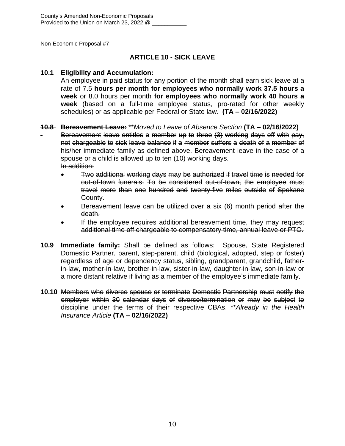## **ARTICLE 10 - SICK LEAVE**

## **10.1 Eligibility and Accumulation:**

An employee in paid status for any portion of the month shall earn sick leave at a rate of 7.5 **hours per month for employees who normally work 37.5 hours a week** or 8.0 hours per month **for employees who normally work 40 hours a week** (based on a full-time employee status, pro-rated for other weekly schedules) or as applicable per Federal or State law. **(TA – 02/16/2022)**

## **10.8 Bereavement Leave:** \*\**Moved to Leave of Absence Section* **(TA – 02/16/2022)**

Bereavement leave entitles a member up to three (3) working days off with pay, not chargeable to sick leave balance if a member suffers a death of a member of his/her immediate family as defined above. Bereavement leave in the case of a spouse or a child is allowed up to ten (10) working days. In addition:

- Two additional working days may be authorized if travel time is needed for out-of-town funerals. To be considered out-of-town, the employee must travel more than one hundred and twenty-five miles outside of Spokane County.
- Bereavement leave can be utilized over a six (6) month period after the death.
- If the employee requires additional bereavement time, they may request additional time off chargeable to compensatory time, annual leave or PTO.
- **10.9 Immediate family:** Shall be defined as follows: Spouse, State Registered Domestic Partner, parent, step-parent, child (biological, adopted, step or foster) regardless of age or dependency status, sibling, grandparent, grandchild, fatherin-law, mother-in-law, brother-in-law, sister-in-law, daughter-in-law, son-in-law or a more distant relative if living as a member of the employee's immediate family.
- **10.10** Members who divorce spouse or terminate Domestic Partnership must notify the employer within 30 calendar days of divorce/termination or may be subject to discipline under the terms of their respective CBAs. \*\**Already in the Health Insurance Article* **(TA – 02/16/2022)**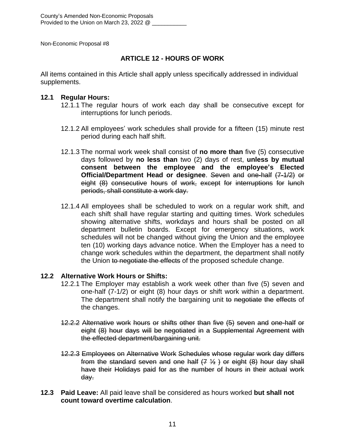## **ARTICLE 12 - HOURS OF WORK**

All items contained in this Article shall apply unless specifically addressed in individual supplements.

#### **12.1 Regular Hours:**

- 12.1.1 The regular hours of work each day shall be consecutive except for interruptions for lunch periods.
- 12.1.2 All employees' work schedules shall provide for a fifteen (15) minute rest period during each half shift.
- 12.1.3 The normal work week shall consist of **no more than** five (5) consecutive days followed by **no less than** two (2) days of rest, **unless by mutual consent between the employee and the employee's Elected Official/Department Head or designee**. Seven and one-half (7-1/2) or eight (8) consecutive hours of work, except for interruptions for lunch periods, shall constitute a work day.
- 12.1.4 All employees shall be scheduled to work on a regular work shift, and each shift shall have regular starting and quitting times. Work schedules showing alternative shifts, workdays and hours shall be posted on all department bulletin boards. Except for emergency situations, work schedules will not be changed without giving the Union and the employee ten (10) working days advance notice. When the Employer has a need to change work schedules within the department, the department shall notify the Union to negotiate the effects of the proposed schedule change.

## **12.2 Alternative Work Hours or Shifts:**

- 12.2.1 The Employer may establish a work week other than five (5) seven and one-half (7-1/2) or eight (8) hour days or shift work within a department. The department shall notify the bargaining unit to negotiate the effects of the changes.
- 12.2.2 Alternative work hours or shifts other than five (5) seven and one-half or eight (8) hour days will be negotiated in a Supplemental Agreement with the effected department/bargaining unit.
- 12.2.3 Employees on Alternative Work Schedules whose regular work day differs from the standard seven and one half  $(7, 1/2)$  or eight  $(8)$  hour day shall have their Holidays paid for as the number of hours in their actual work day.
- **12.3 Paid Leave:** All paid leave shall be considered as hours worked **but shall not count toward overtime calculation**.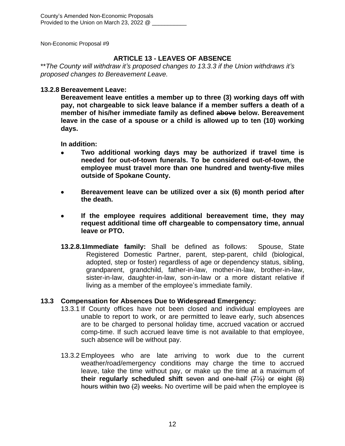## **ARTICLE 13 - LEAVES OF ABSENCE**

\*\**The County will withdraw it's proposed changes to 13.3.3 if the Union withdraws it's proposed changes to Bereavement Leave.*

## **13.2.8 Bereavement Leave:**

**Bereavement leave entitles a member up to three (3) working days off with pay, not chargeable to sick leave balance if a member suffers a death of a member of his/her immediate family as defined above below. Bereavement leave in the case of a spouse or a child is allowed up to ten (10) working days.**

**In addition:**

- **Two additional working days may be authorized if travel time is needed for out-of-town funerals. To be considered out-of-town, the employee must travel more than one hundred and twenty-five miles outside of Spokane County.**
- **Bereavement leave can be utilized over a six (6) month period after the death.**
- **If the employee requires additional bereavement time, they may request additional time off chargeable to compensatory time, annual leave or PTO.**
- **13.2.8.1Immediate family:** Shall be defined as follows: Spouse, State Registered Domestic Partner, parent, step-parent, child (biological, adopted, step or foster) regardless of age or dependency status, sibling, grandparent, grandchild, father-in-law, mother-in-law, brother-in-law, sister-in-law, daughter-in-law, son-in-law or a more distant relative if living as a member of the employee's immediate family.

## **13.3 Compensation for Absences Due to Widespread Emergency:**

- 13.3.1 If County offices have not been closed and individual employees are unable to report to work, or are permitted to leave early, such absences are to be charged to personal holiday time, accrued vacation or accrued comp-time. If such accrued leave time is not available to that employee, such absence will be without pay.
- 13.3.2 Employees who are late arriving to work due to the current weather/road/emergency conditions may charge the time to accrued leave, take the time without pay, or make up the time at a maximum of **their regularly scheduled shift** seven and one-half (7½) or eight (8) hours within two (2) weeks. No overtime will be paid when the employee is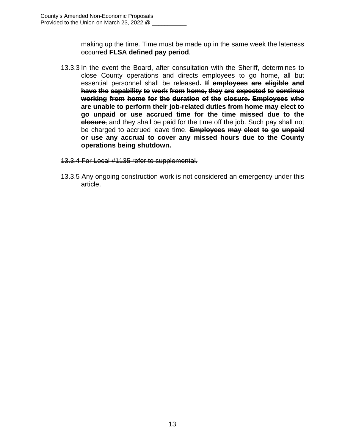making up the time. Time must be made up in the same week the lateness occurred **FLSA defined pay period**.

- 13.3.3 In the event the Board, after consultation with the Sheriff, determines to close County operations and directs employees to go home, all but essential personnel shall be released**. If employees are eligible and have the capability to work from home, they are expected to continue working from home for the duration of the closure. Employees who are unable to perform their job-related duties from home may elect to go unpaid or use accrued time for the time missed due to the closure**, and they shall be paid for the time off the job. Such pay shall not be charged to accrued leave time. **Employees may elect to go unpaid or use any accrual to cover any missed hours due to the County operations being shutdown.**
- 13.3.4 For Local #1135 refer to supplemental.
- 13.3.5 Any ongoing construction work is not considered an emergency under this article.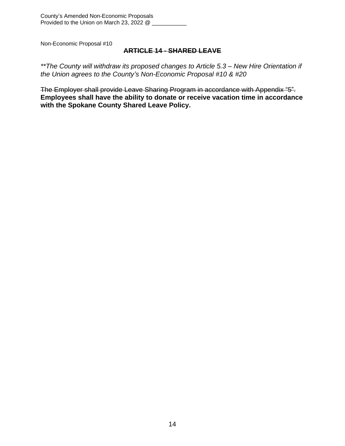## **ARTICLE 14 - SHARED LEAVE**

*\*\*The County will withdraw its proposed changes to Article 5.3 – New Hire Orientation if the Union agrees to the County's Non-Economic Proposal #10 & #20*

The Employer shall provide Leave Sharing Program in accordance with Appendix "5". **Employees shall have the ability to donate or receive vacation time in accordance with the Spokane County Shared Leave Policy.**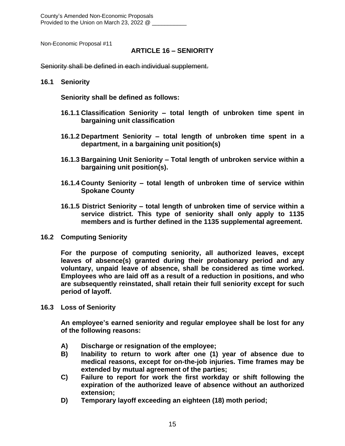County's Amended Non-Economic Proposals Provided to the Union on March 23, 2022 @

Non-Economic Proposal #11

#### **ARTICLE 16 – SENIORITY**

Seniority shall be defined in each individual supplement.

#### **16.1 Seniority**

**Seniority shall be defined as follows:**

- **16.1.1 Classification Seniority – total length of unbroken time spent in bargaining unit classification**
- **16.1.2 Department Seniority – total length of unbroken time spent in a department, in a bargaining unit position(s)**
- **16.1.3 Bargaining Unit Seniority – Total length of unbroken service within a bargaining unit position(s).**
- **16.1.4 County Seniority – total length of unbroken time of service within Spokane County**
- **16.1.5 District Seniority – total length of unbroken time of service within a service district. This type of seniority shall only apply to 1135 members and is further defined in the 1135 supplemental agreement.**
- **16.2 Computing Seniority**

**For the purpose of computing seniority, all authorized leaves, except leaves of absence(s) granted during their probationary period and any voluntary, unpaid leave of absence, shall be considered as time worked. Employees who are laid off as a result of a reduction in positions, and who are subsequently reinstated, shall retain their full seniority except for such period of layoff.**

**16.3 Loss of Seniority**

**An employee's earned seniority and regular employee shall be lost for any of the following reasons:**

- **A) Discharge or resignation of the employee;**
- **B) Inability to return to work after one (1) year of absence due to medical reasons, except for on-the-job injuries. Time frames may be extended by mutual agreement of the parties;**
- **C) Failure to report for work the first workday or shift following the expiration of the authorized leave of absence without an authorized extension;**
- **D) Temporary layoff exceeding an eighteen (18) moth period;**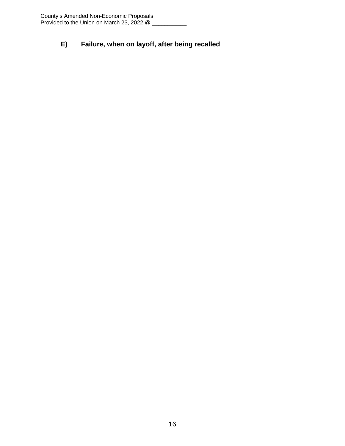## **E) Failure, when on layoff, after being recalled**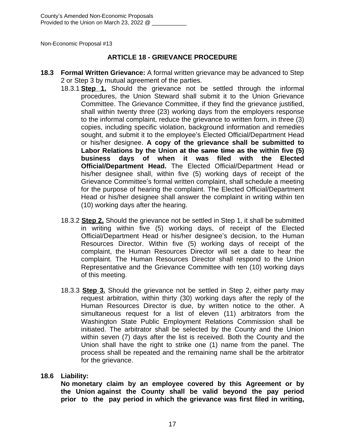#### **ARTICLE 18 - GRIEVANCE PROCEDURE**

- **18.3 Formal Written Grievance:** A formal written grievance may be advanced to Step 2 or Step 3 by mutual agreement of the parties.
	- 18.3.1 **Step 1.** Should the grievance not be settled through the informal procedures, the Union Steward shall submit it to the Union Grievance Committee. The Grievance Committee, if they find the grievance justified, shall within twenty three (23) working days from the employers response to the informal complaint, reduce the grievance to written form, in three (3) copies, including specific violation, background information and remedies sought, and submit it to the employee's Elected Official/Department Head or his/her designee. **A copy of the grievance shall be submitted to Labor Relations by the Union at the same time as the within five (5) business days of when it was filed with the Elected Official/Department Head.** The Elected Official/Department Head or his/her designee shall, within five (5) working days of receipt of the Grievance Committee's formal written complaint, shall schedule a meeting for the purpose of hearing the complaint. The Elected Official/Department Head or his/her designee shall answer the complaint in writing within ten (10) working days after the hearing.
	- 18.3.2 **Step 2.** Should the grievance not be settled in Step 1, it shall be submitted in writing within five (5) working days, of receipt of the Elected Official/Department Head or his/her designee's decision, to the Human Resources Director. Within five (5) working days of receipt of the complaint, the Human Resources Director will set a date to hear the complaint. The Human Resources Director shall respond to the Union Representative and the Grievance Committee with ten (10) working days of this meeting.
	- 18.3.3 **Step 3.** Should the grievance not be settled in Step 2, either party may request arbitration, within thirty (30) working days after the reply of the Human Resources Director is due, by written notice to the other. A simultaneous request for a list of eleven (11) arbitrators from the Washington State Public Employment Relations Commission shall be initiated. The arbitrator shall be selected by the County and the Union within seven (7) days after the list is received. Both the County and the Union shall have the right to strike one (1) name from the panel. The process shall be repeated and the remaining name shall be the arbitrator for the grievance.

#### **18.6 Liability:**

**No monetary claim by an employee covered by this Agreement or by the Union against the County shall be valid beyond the pay period prior to the pay period in which the grievance was first filed in writing,**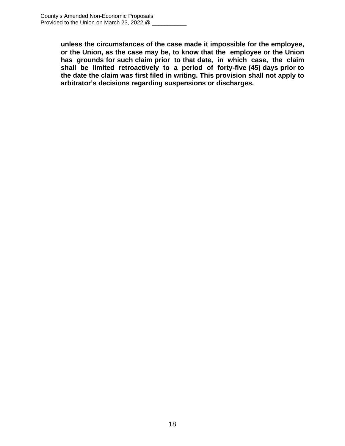**unless the circumstances of the case made it impossible for the employee, or the Union, as the case may be, to know that the employee or the Union has grounds for such claim prior to that date, in which case, the claim shall be limited retroactively to a period of forty-five (45) days prior to the date the claim was first filed in writing. This provision shall not apply to arbitrator's decisions regarding suspensions or discharges.**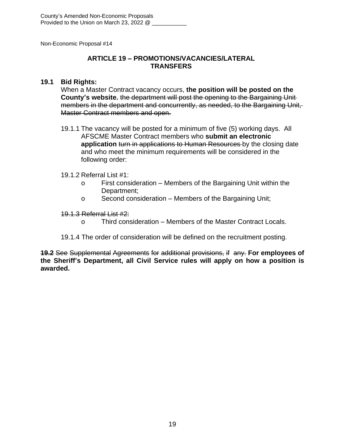## **ARTICLE 19 – PROMOTIONS/VACANCIES/LATERAL TRANSFERS**

#### **19.1 Bid Rights:**

When a Master Contract vacancy occurs, **the position will be posted on the County's website.** the department will post the opening to the Bargaining Unit members in the department and concurrently, as needed, to the Bargaining Unit, Master Contract members and open.

19.1.1 The vacancy will be posted for a minimum of five (5) working days. All AFSCME Master Contract members who **submit an electronic application** turn in applications to Human Resources by the closing date and who meet the minimum requirements will be considered in the following order:

#### 19.1.2 Referral List #1:

- o First consideration Members of the Bargaining Unit within the Department;
- o Second consideration Members of the Bargaining Unit;

#### 19.1.3 Referral List #2:

- o Third consideration Members of the Master Contract Locals.
- 19.1.4 The order of consideration will be defined on the recruitment posting.

**19.2** See Supplemental Agreements for additional provisions, if any. **For employees of the Sheriff's Department, all Civil Service rules will apply on how a position is awarded.**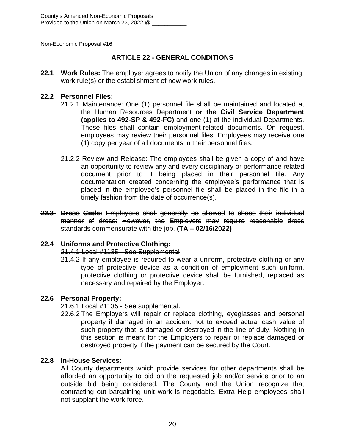## **ARTICLE 22 - GENERAL CONDITIONS**

**22.1 Work Rules:** The employer agrees to notify the Union of any changes in existing work rule(s) or the establishment of new work rules.

#### **22.2 Personnel Files:**

- 21.2.1 Maintenance: One (1) personnel file shall be maintained and located at the Human Resources Department **or the Civil Service Department (applies to 492-SP & 492-FC)** and one (1) at the individual Departments. Those files shall contain employment-related documents. On request, employees may review their personnel files. Employees may receive one (1) copy per year of all documents in their personnel files.
- 21.2.2 Review and Release: The employees shall be given a copy of and have an opportunity to review any and every disciplinary or performance related document prior to it being placed in their personnel file. Any documentation created concerning the employee's performance that is placed in the employee's personnel file shall be placed in the file in a timely fashion from the date of occurrence(s).
- **22.3 Dress Code:** Employees shall generally be allowed to chose their individual manner of dress: However, the Employers may require reasonable dress standards commensurate with the job. **(TA – 02/16/2022)**

## **22.4 Uniforms and Protective Clothing:**

## 21.4.1 Local #1135 - See Supplemental

21.4.2 If any employee is required to wear a uniform, protective clothing or any type of protective device as a condition of employment such uniform, protective clothing or protective device shall be furnished, replaced as necessary and repaired by the Employer.

## **22.6 Personal Property:**

## 21.6.1 Local #1135 - See supplemental.

22.6.2 The Employers will repair or replace clothing, eyeglasses and personal property if damaged in an accident not to exceed actual cash value of such property that is damaged or destroyed in the line of duty. Nothing in this section is meant for the Employers to repair or replace damaged or destroyed property if the payment can be secured by the Court.

## **22.8 In-House Services:**

All County departments which provide services for other departments shall be afforded an opportunity to bid on the requested job and/or service prior to an outside bid being considered. The County and the Union recognize that contracting out bargaining unit work is negotiable. Extra Help employees shall not supplant the work force.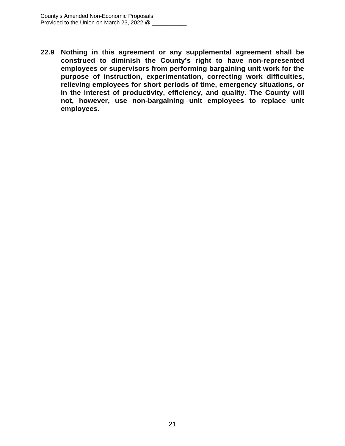**22.9 Nothing in this agreement or any supplemental agreement shall be construed to diminish the County's right to have non-represented employees or supervisors from performing bargaining unit work for the purpose of instruction, experimentation, correcting work difficulties, relieving employees for short periods of time, emergency situations, or in the interest of productivity, efficiency, and quality. The County will not, however, use non-bargaining unit employees to replace unit employees.**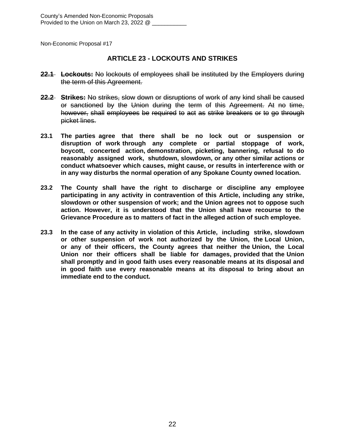#### **ARTICLE 23 - LOCKOUTS AND STRIKES**

- **22.1 Lockouts:** No lockouts of employees shall be instituted by the Employers during the term of this Agreement.
- **22.2 Strikes:** No strikes, slow down or disruptions of work of any kind shall be caused or sanctioned by the Union during the term of this Agreement. At no time, however, shall employees be required to act as strike breakers or to go through picket lines.
- **23.1 The parties agree that there shall be no lock out or suspension or disruption of work through any complete or partial stoppage of work, boycott, concerted action, demonstration, picketing, bannering, refusal to do reasonably assigned work, shutdown, slowdown, or any other similar actions or conduct whatsoever which causes, might cause, or results in interference with or in any way disturbs the normal operation of any Spokane County owned location.**
- **23.2 The County shall have the right to discharge or discipline any employee participating in any activity in contravention of this Article, including any strike, slowdown or other suspension of work; and the Union agrees not to oppose such action. However, it is understood that the Union shall have recourse to the Grievance Procedure as to matters of fact in the alleged action of such employee.**
- **23.3 In the case of any activity in violation of this Article, including strike, slowdown or other suspension of work not authorized by the Union, the Local Union, or any of their officers, the County agrees that neither the Union, the Local Union nor their officers shall be liable for damages, provided that the Union shall promptly and in good faith uses every reasonable means at its disposal and in good faith use every reasonable means at its disposal to bring about an immediate end to the conduct.**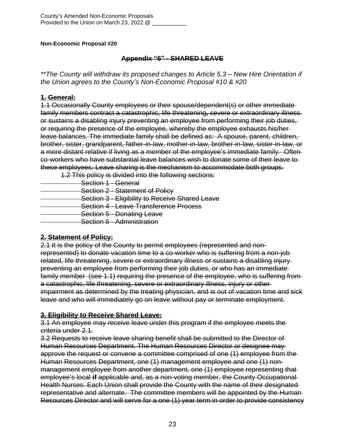## **Appendix "6" - SHARED LEAVE**

*\*\*The County will withdraw its proposed changes to Article 5.3 – New Hire Orientation if the Union agrees to the County's Non-Economic Proposal #10 & #20*

## **1. General:**

1.1 Occasionally County employees or their spouse/dependent(s) or other immediate family members contract a catastrophic, life threatening**,** severe or extraordinary illness or sustains a disabling injury preventing an employee from performing their job duties, or requiring the presence of the employee, whereby the employee exhausts his/her leave balances. The immediate family shall be defined as: A spouse, parent, children, brother, sister, grandparent, father-in-law, mother-in-law, brother-in-law, sister-in-law, or a more distant relative if living as a member of the employee's immediate family. Often co-workers who have substantial leave balances wish to donate some of their leave to these employees. Leave sharing is the mechanism to accommodate both groups.

1.2 This policy is divided into the following sections:

Section 1 - General **Section 2 - Statement of Policy Section 3 - Eligibility to Receive Shared Leave Section 4 - Leave Transference Process**  Section 5 - Donating Leave Section 6 - Administration

## **2. Statement of Policy:**

2.1 It is the policy of the County to permit employees (represented and nonrepresented) to donate vacation time to a co-worker who is suffering from a non-job related, life threatening, severe or extraordinary illness or sustains a disabling injury preventing an employee from performing their job duties, or who has an immediate family member (see 1.1) requiring the presence of the employee, who is suffering from a catastrophic, life threatening, severe or extraordinary illness, injury or other impairment as determined by the treating physician, and is out of vacation time and sick leave and who will immediately go on leave without pay or terminate employment.

## **3. Eligibility to Receive Shared Leave:**

3.1 An employee may receive leave under this program if the employee meets the criteria under 2.1.

3.2 Requests to receive leave sharing benefit shall be submitted to the Director of Human Resources Department. The Human Resources Director or designee may approve the request or convene a committee comprised of one (1) employee from the Human Resources Department, one (1) management employee and one (1) nonmanagement employee from another department, one (1) employee representing that employee's local **if** applicable and, as a non-voting member, the County Occupational Health Nurses. Each Union shall provide the County with the name of their designated representative and alternate. The committee members will be appointed by the Human Resources Director and will serve for a one (1) year term in order to provide consistency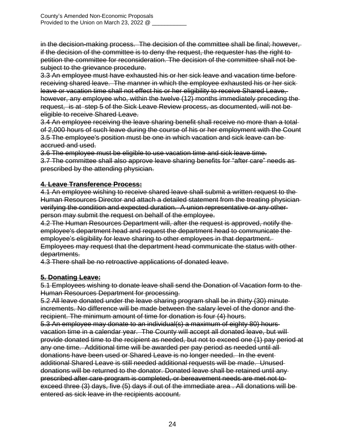in the decision-making process. The decision of the committee shall be final; however, if the decision of the committee is to deny the request, the requester has the right to petition the committee for reconsideration. The decision of the committee shall not be subject to the grievance procedure.

3.3 An employee must have exhausted his or her sick leave and vacation time before receiving shared leave. The manner in which the employee exhausted his or her sick leave or vacation time shall not effect his or her eligibility to receive Shared Leave, however, any employee who, within the twelve (12) months immediately preceding the request, is at step 5 of the Sick Leave Review process, as documented, will not be eligible to receive Shared Leave.

3.4 An employee receiving the leave sharing benefit shall receive no more than a total of 2,000 hours of such leave during the course of his or her employment with the Count 3.5 The employee's position must be one in which vacation and sick leave can be accrued and used.

3.6 The employee must be eligible to use vacation time and sick leave time.

3.7 The committee shall also approve leave sharing benefits for "after care" needs as prescribed by the attending physician.

## **4. Leave Transference Process:**

4.1 An employee wishing to receive shared leave shall submit a written request to the Human Resources Director and attach a detailed statement from the treating physician verifying the condition and expected duration. A union representative or any other person may submit the request on behalf of the employee.

4.2 The Human Resources Department will, after the request is approved, notify the employee's department head and request the department head to communicate the employee's eligibility for leave sharing to other employees in that department. Employees may request that the department head communicate the status with other departments.

4.3 There shall be no retroactive applications of donated leave.

## **5. Donating Leave:**

5.1 Employees wishing to donate leave shall send the Donation of Vacation form to the Human Resources Department for processing.

5.2 All leave donated under the leave sharing program shall be in thirty (30) minute increments. No difference will be made between the salary level of the donor and the recipient. The minimum amount of time for donation is four (4) hours.

5.3 An employee may donate to an individual(s) a maximum of eighty 80) hours vacation time in a calendar year. The County will accept all donated leave, but will provide donated time to the recipient as needed, but not to exceed one (1) pay period at any one time. Additional time will be awarded per pay period as needed until all donations have been used or Shared Leave is no longer needed. In the event additional Shared Leave is still needed additional requests will be made. Unused donations will be returned to the donator. Donated leave shall be retained until any prescribed after care program is completed, or bereavement needs are met not to exceed three (3) days, five (5) days if out of the immediate area . All donations will be entered as sick leave in the recipients account.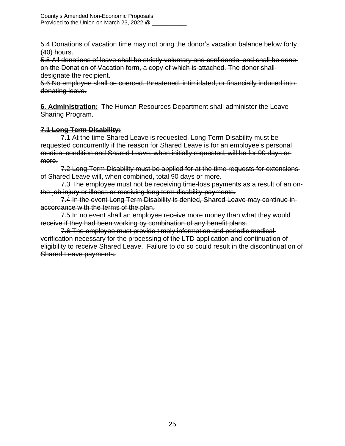5.4 Donations of vacation time may not bring the donor's vacation balance below forty (40) hours.

5.5 All donations of leave shall be strictly voluntary and confidential and shall be done on the Donation of Vacation form, a copy of which is attached. The donor shall designate the recipient.

5.6 No employee shall be coerced, threatened, intimidated, or financially induced into donating leave.

**6. Administration:** The Human Resources Department shall administer the Leave Sharing Program.

## **7.1 Long Term Disability:**

 7.1 At the time Shared Leave is requested, Long Term Disability must be requested concurrently if the reason for Shared Leave is for an employee's personal medical condition and Shared Leave, when initially requested, will be for 90 days or more.

7.2 Long Term Disability must be applied for at the time requests for extensions of Shared Leave will, when combined, total 90 days or more.

7.3 The employee must not be receiving time-loss payments as a result of an onthe-job injury or illness or receiving long term disability payments.

7.4 In the event Long Term Disability is denied, Shared Leave may continue in accordance with the terms of the plan.

7.5 In no event shall an employee receive more money than what they wouldreceive if they had been working by combination of any benefit plans.

7.6 The employee must provide timely information and periodic medical verification necessary for the processing of the LTD application and continuation of eligibility to receive Shared Leave. Failure to do so could result in the discontinuation of Shared Leave payments.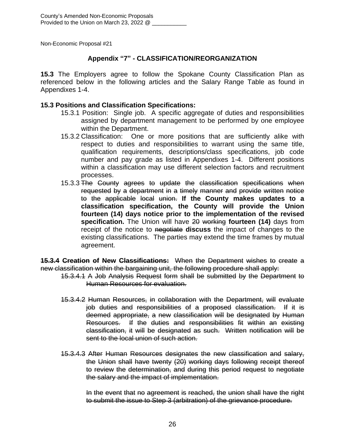## **Appendix "7" - CLASSIFICATION/REORGANIZATION**

**15.3** The Employers agree to follow the Spokane County Classification Plan as referenced below in the following articles and the Salary Range Table as found in Appendixes 1-4.

#### **15.3 Positions and Classification Specifications:**

- 15.3.1 Position: Single job. A specific aggregate of duties and responsibilities assigned by department management to be performed by one employee within the Department.
- 15.3.2 Classification: One or more positions that are sufficiently alike with respect to duties and responsibilities to warrant using the same title, qualification requirements, descriptions/class specifications, job code number and pay grade as listed in Appendixes 1-4. Different positions within a classification may use different selection factors and recruitment processes.
- 15.3.3 The County agrees to update the classification specifications when requested by a department in a timely manner and provide written notice to the applicable local union. **If the County makes updates to a classification specification, the County will provide the Union fourteen (14) days notice prior to the implementation of the revised specification.** The Union will have 20 working **fourteen (14)** days from receipt of the notice to negotiate **discuss** the impact of changes to the existing classifications. The parties may extend the time frames by mutual agreement.

**15.3.4 Creation of New Classifications:** When the Department wishes to create a new classification within the bargaining unit, the following procedure shall apply:

- 15.3.4.1 A Job Analysis Request form shall be submitted by the Department to Human Resources for evaluation.
- 15.3.4.2 Human Resources, in collaboration with the Department, will evaluate job duties and responsibilities of a proposed classification. If it is deemed appropriate, a new classification will be designated by Human Resources. If the duties and responsibilities fit within an existing classification, it will be designated as such. Written notification will be sent to the local union of such action.
- 15.3.4.3 After Human Resources designates the new classification and salary, the Union shall have twenty (20) working days following receipt thereof to review the determination, and during this period request to negotiate the salary and the impact of implementation.

In the event that no agreement is reached, the union shall have the right to submit the issue to Step 3 (arbitration) of the grievance procedure.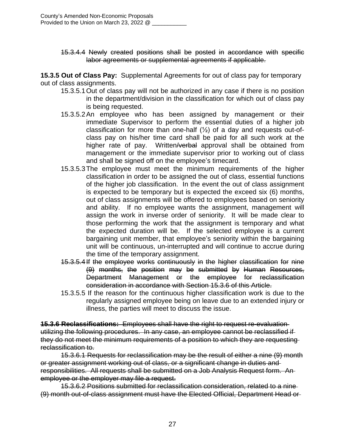15.3.4.4 Newly created positions shall be posted in accordance with specific labor agreements or supplemental agreements if applicable.

**15.3.5 Out of Class Pay:** Supplemental Agreements for out of class pay for temporary out of class assignments.

- 15.3.5.1Out of class pay will not be authorized in any case if there is no position in the department/division in the classification for which out of class pay is being requested.
- 15.3.5.2An employee who has been assigned by management or their immediate Supervisor to perform the essential duties of a higher job classification for more than one-half  $(\frac{1}{2})$  of a day and requests out-ofclass pay on his/her time card shall be paid for all such work at the higher rate of pay. Written/verbal approval shall be obtained from management or the immediate supervisor prior to working out of class and shall be signed off on the employee's timecard.
- 15.3.5.3The employee must meet the minimum requirements of the higher classification in order to be assigned the out of class, essential functions of the higher job classification. In the event the out of class assignment is expected to be temporary but is expected the exceed six (6) months, out of class assignments will be offered to employees based on seniority and ability. If no employee wants the assignment, management will assign the work in inverse order of seniority. It will be made clear to those performing the work that the assignment is temporary and what the expected duration will be. If the selected employee is a current bargaining unit member, that employee's seniority within the bargaining unit will be continuous, un-interrupted and will continue to accrue during the time of the temporary assignment.
- 15.3.5.4If the employee works continuously in the higher classification for nine (9) months, the position may be submitted by Human Resources, Department Management or the employee for reclassification consideration in accordance with Section 15.3.6 of this Article.
- 15.3.5.5 If the reason for the continuous higher classification work is due to the regularly assigned employee being on leave due to an extended injury or illness, the parties will meet to discuss the issue.

**15.3.6 Reclassifications:** Employees shall have the right to request re-evaluation utilizing the following procedures. In any case, an employee cannot be reclassified if they do not meet the minimum requirements of a position to which they are requesting reclassification to.

15.3.6.1 Requests for reclassification may be the result of either a nine (9) month or greater assignment working out of class, or a significant change in duties and responsibilities. All requests shall be submitted on a Job Analysis Request form. An employee or the employer may file a request.

15.3.6.2 Positions submitted for reclassification consideration, related to a nine (9) month out-of-class assignment must have the Elected Official, Department Head or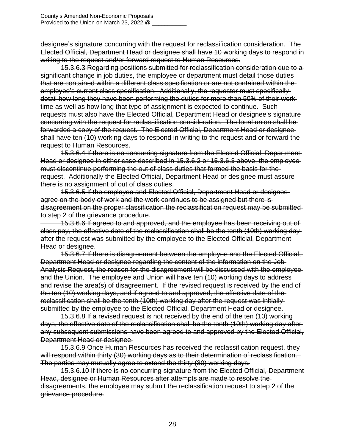designee's signature concurring with the request for reclassification consideration. The Elected Official, Department Head or designee shall have 10 working days to respond in writing to the request and/or forward request to Human Resources.

15.3.6.3 Regarding positions submitted for reclassification consideration due to a significant change in job duties, the employee or department must detail those duties that are contained within a different class specification or are not contained within the employee's current class specification. Additionally, the requester must specifically detail how long they have been performing the duties for more than 50% of their work time as well as how long that type of assignment is expected to continue. Such requests must also have the Elected Official, Department Head or designee's signature concurring with the request for reclassification consideration. The local union shall be forwarded a copy of the request. The Elected Official, Department Head or designee shall have ten (10) working days to respond in writing to the request and or forward the request to Human Resources.

15.3.6.4 If there is no concurring signature from the Elected Official, Department Head or designee in either case described in 15.3.6.2 or 15.3.6.3 above, the employee must discontinue performing the out of class duties that formed the basis for the request. Additionally the Elected Official, Department Head or designee must assure there is no assignment of out of class duties.

15.3.6.5 If the employee and Elected Official, Department Head or designee agree on the body of work and the work continues to be assigned but there is disagreement on the proper classification the reclassification request may be submitted to step 2 of the grievance procedure.

 15.3.6.6 If agreed to and approved, and the employee has been receiving out of class pay, the effective date of the reclassification shall be the tenth (10th) working day after the request was submitted by the employee to the Elected Official, Department Head or designee.

15.3.6.7 If there is disagreement between the employee and the Elected Official, Department Head or designee regarding the content of the information on the Job Analysis Request, the reason for the disagreement will be discussed with the employee and the Union. The employee and Union will have ten (10) working days to address and revise the area(s) of disagreement. If the revised request is received by the end of the ten (10) working days, and if agreed to and approved, the effective date of the reclassification shall be the tenth (10th) working day after the request was initially submitted by the employee to the Elected Official, Department Head or designee.

15.3.6.8 If a revised request is not received by the end of the ten (10) working days, the effective date of the reclassification shall be the tenth (10th) working day after any subsequent submissions have been agreed to and approved by the Elected Official, Department Head or designee.

15.3.6.9 Once Human Resources has received the reclassification request, they will respond within thirty (30) working days as to their determination of reclassification. The parties may mutually agree to extend the thirty (30) working days.

15.3.6.10 If there is no concurring signature from the Elected Official, Department Head, designee or Human Resources after attempts are made to resolve the disagreements, the employee may submit the reclassification request to step 2 of the grievance procedure.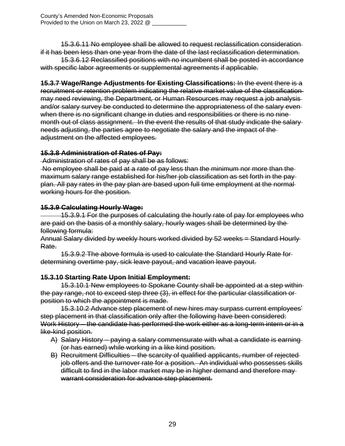15.3.6.11 No employee shall be allowed to request reclassification consideration if it has been less than one year from the date of the last reclassification determination.

15.3.6.12 Reclassified positions with no incumbent shall be posted in accordance with specific labor agreements or supplemental agreements if applicable.

**15.3.7 Wage/Range Adjustments for Existing Classifications:** In the event there is a recruitment or retention problem indicating the relative market value of the classification may need reviewing, the Department*,* or Human Resources may request a job analysis and/or salary survey be conducted to determine the appropriateness of the salary even when there is no significant change in duties and responsibilities or there is no ninemonth out of class assignment. In the event the results of that study indicate the salary needs adjusting, the parties agree to negotiate the salary and the impact of the adjustment on the affected employees.

## **15.3.8 Administration of Rates of Pay:**

Administration of rates of pay shall be as follows:

No employee shall be paid at a rate of pay less than the minimum nor more than the maximum salary range established for his/her job classification as set forth in the pay plan. All pay rates in the pay plan are based upon full time employment at the normal working hours for the position.

## **15.3.9 Calculating Hourly Wage:**

 15.3.9.1 For the purposes of calculating the hourly rate of pay for employees who are paid on the basis of a monthly salary, hourly wages shall be determined by the following formula:

Annual Salary divided by weekly hours worked divided by 52 weeks = Standard Hourly Rate.

15.3.9.2 The above formula is used to calculate the Standard Hourly Rate for determining overtime pay, sick leave payout, and vacation leave payout.

## **15.3.10 Starting Rate Upon Initial Employment:**

15.3.10.1 New employees to Spokane County shall be appointed at a step within the pay range, not to exceed step three (3), in effect for the particular classification or position to which the appointment is made.

15.3.10.2 Advance step placement of new hires may surpass current employees' step placement in that classification only after the following have been considered: Work History – the candidate has performed the work either as a long-term intern or in a like-kind position.

- A) Salary History paying a salary commensurate with what a candidate is earning (or has earned) while working in a like kind position.
- B) Recruitment Difficulties the scarcity of qualified applicants, number of rejected job offers and the turnover rate for a position. An individual who possesses skills difficult to find in the labor market may be in higher demand and therefore may warrant consideration for advance step placement.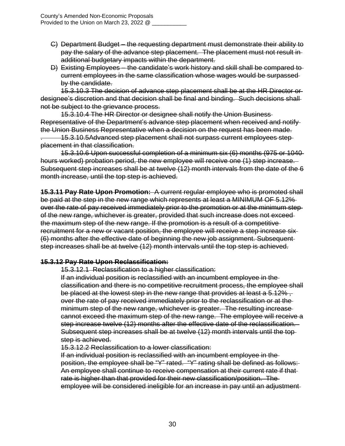- C) Department Budget the requesting department must demonstrate their ability to pay the salary of the advance step placement. The placement must not result in additional budgetary impacts within the department.
- D) Existing Employees the candidate's work history and skill shall be compared to current employees in the same classification whose wages would be surpassed by the candidate.

15.3.10.3 The decision of advance step placement shall be at the HR Director or designee's discretion and that decision shall be final and binding. Such decisions shall not be subject to the grievance process.

15.3.10.4 The HR Director or designee shall notify the Union Business Representative of the Department's advance step placement when received and notify the Union Business Representative when a decision on the request has been made.

. 15.3.10.5Advanced step placement shall not surpass current employees step placement in that classification.

15.3.10.6 Upon successful completion of a minimum six (6) months (975 or 1040 hours worked) probation period, the new employee will receive one (1) step increase. Subsequent step increases shall be at twelve (12) month intervals from the date of the 6 month increase, until the top step is achieved.

**15.3.11 Pay Rate Upon Promotion:** A current regular employee who is promoted shall be paid at the step in the new range which represents at least a MINIMUM OF 5.12% over the rate of pay received immediately prior to the promotion or at the minimum step of the new range, whichever is greater, provided that such increase does not exceed the maximum step of the new range. If the promotion is a result of a competitive recruitment for a new or vacant position, the employee will receive a step increase six (6) months after the effective date of beginning the new job assignment. Subsequent step increases shall be at twelve (12) month intervals until the top step is achieved.

## **15.3.12 Pay Rate Upon Reclassification:**

15.3.12.1 Reclassification to a higher classification:

If an individual position is reclassified with an incumbent employee in the classification and there is no competitive recruitment process, the employee shall be placed at the lowest step in the new range that provides at least a 5.12%, over the rate of pay received immediately prior to the reclassification or at the minimum step of the new range, whichever is greater. The resulting increase cannot exceed the maximum step of the new range. The employee will receive a step increase twelve (12) months after the effective date of the reclassification. Subsequent step increases shall be at twelve (12) month intervals until the top step is achieved.

15.3.12.2 Reclassification to a lower classification:

If an individual position is reclassified with an incumbent employee in the position, the employee shall be "Y" rated. "Y" rating shall be defined as follows: An employee shall continue to receive compensation at their current rate if that rate is higher than that provided for their new classification/position. The employee will be considered ineligible for an increase in pay until an adjustment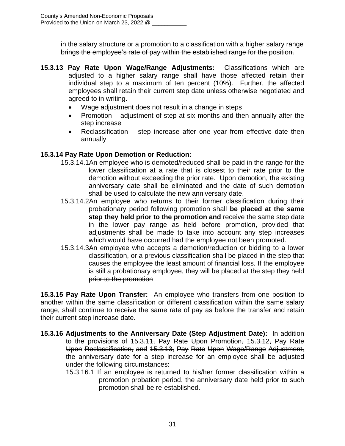in the salary structure or a promotion to a classification with a higher salary range brings the employee's rate of pay within the established range for the position.

- **15.3.13 Pay Rate Upon Wage/Range Adjustments:** Classifications which are adjusted to a higher salary range shall have those affected retain their individual step to a maximum of ten percent (10%). Further, the affected employees shall retain their current step date unless otherwise negotiated and agreed to in writing.
	- Wage adjustment does not result in a change in steps
	- Promotion  $-$  adjustment of step at six months and then annually after the step increase
	- Reclassification step increase after one year from effective date then annually

## **15.3.14 Pay Rate Upon Demotion or Reduction:**

- 15.3.14.1An employee who is demoted/reduced shall be paid in the range for the lower classification at a rate that is closest to their rate prior to the demotion without exceeding the prior rate. Upon demotion, the existing anniversary date shall be eliminated and the date of such demotion shall be used to calculate the new anniversary date.
- 15.3.14.2An employee who returns to their former classification during their probationary period following promotion shall **be placed at the same step they held prior to the promotion and** receive the same step date in the lower pay range as held before promotion, provided that adjustments shall be made to take into account any step increases which would have occurred had the employee not been promoted.
- 15.3.14.3An employee who accepts a demotion/reduction or bidding to a lower classification, or a previous classification shall be placed in the step that causes the employee the least amount of financial loss. If the employee is still a probationary employee, they will be placed at the step they held prior to the promotion

**15.3.15 Pay Rate Upon Transfer:** An employee who transfers from one position to another within the same classification or different classification within the same salary range, shall continue to receive the same rate of pay as before the transfer and retain their current step increase date.

- **15.3.16 Adjustments to the Anniversary Date (Step Adjustment Date):** In addition to the provisions of 15.3.11, Pay Rate Upon Promotion, 15.3.12, Pay Rate Upon Reclassification, and 15.3.13, Pay Rate Upon Wage/Range Adjustment, the anniversary date for a step increase for an employee shall be adjusted under the following circumstances:
	- 15.3.16.1 If an employee is returned to his/her former classification within a promotion probation period, the anniversary date held prior to such promotion shall be re-established.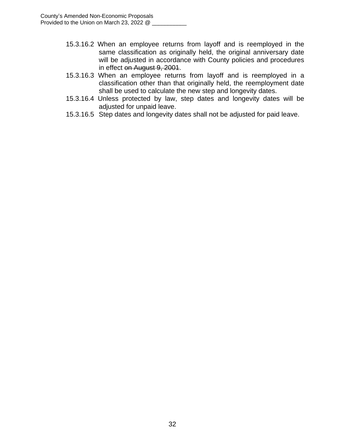- 15.3.16.2 When an employee returns from layoff and is reemployed in the same classification as originally held, the original anniversary date will be adjusted in accordance with County policies and procedures in effect on August 9, 2001.
- 15.3.16.3 When an employee returns from layoff and is reemployed in a classification other than that originally held, the reemployment date shall be used to calculate the new step and longevity dates.
- 15.3.16.4 Unless protected by law, step dates and longevity dates will be adjusted for unpaid leave.
- 15.3.16.5 Step dates and longevity dates shall not be adjusted for paid leave.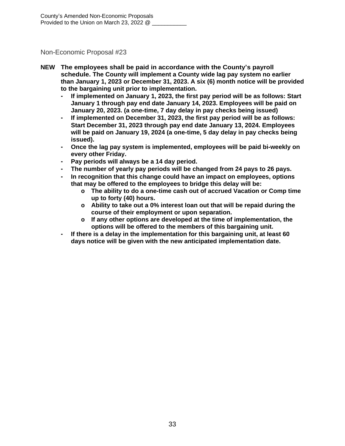- **NEW The employees shall be paid in accordance with the County's payroll schedule. The County will implement a County wide lag pay system no earlier than January 1, 2023 or December 31, 2023. A six (6) month notice will be provided to the bargaining unit prior to implementation.**
	- **- If implemented on January 1, 2023, the first pay period will be as follows: Start January 1 through pay end date January 14, 2023. Employees will be paid on January 20, 2023. (a one-time, 7 day delay in pay checks being issued)**
	- **- If implemented on December 31, 2023, the first pay period will be as follows: Start December 31, 2023 through pay end date January 13, 2024. Employees will be paid on January 19, 2024 (a one-time, 5 day delay in pay checks being issued).**
	- **- Once the lag pay system is implemented, employees will be paid bi-weekly on every other Friday.**
	- **- Pay periods will always be a 14 day period.**
	- **- The number of yearly pay periods will be changed from 24 pays to 26 pays.**
	- **- In recognition that this change could have an impact on employees, options that may be offered to the employees to bridge this delay will be:**
		- **o The ability to do a one-time cash out of accrued Vacation or Comp time up to forty (40) hours.**
		- **o Ability to take out a 0% interest loan out that will be repaid during the course of their employment or upon separation.**
		- **o If any other options are developed at the time of implementation, the options will be offered to the members of this bargaining unit.**
	- **- If there is a delay in the implementation for this bargaining unit, at least 60 days notice will be given with the new anticipated implementation date.**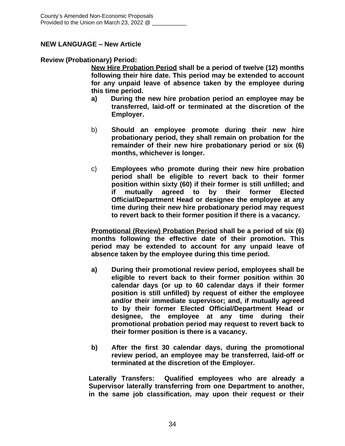## **NEW LANGUAGE – New Article**

#### **Review (Probationary) Period:**

**New Hire Probation Period shall be a period of twelve (12) months following their hire date. This period may be extended to account for any unpaid leave of absence taken by the employee during this time period.**

- **a) During the new hire probation period an employee may be transferred, laid-off or terminated at the discretion of the Employer.**
- b) **Should an employee promote during their new hire probationary period, they shall remain on probation for the remainder of their new hire probationary period or six (6) months, whichever is longer.**
- c) **Employees who promote during their new hire probation period shall be eligible to revert back to their former position within sixty (60) if their former is still unfilled; and if mutually agreed to by their former Elected Official/Department Head or designee the employee at any time during their new hire probationary period may request to revert back to their former position if there is a vacancy.**

**Promotional (Review) Probation Period shall be a period of six (6) months following the effective date of their promotion. This period may be extended to account for any unpaid leave of absence taken by the employee during this time period.**

- **a) During their promotional review period, employees shall be eligible to revert back to their former position within 30 calendar days (or up to 60 calendar days if their former position is still unfilled) by request of either the employee and/or their immediate supervisor; and, if mutually agreed to by their former Elected Official/Department Head or designee, the employee at any time during their promotional probation period may request to revert back to their former position is there is a vacancy.**
- **b) After the first 30 calendar days, during the promotional review period, an employee may be transferred, laid-off or terminated at the discretion of the Employer.**

**Laterally Transfers: Qualified employees who are already a Supervisor laterally transferring from one Department to another, in the same job classification, may upon their request or their**